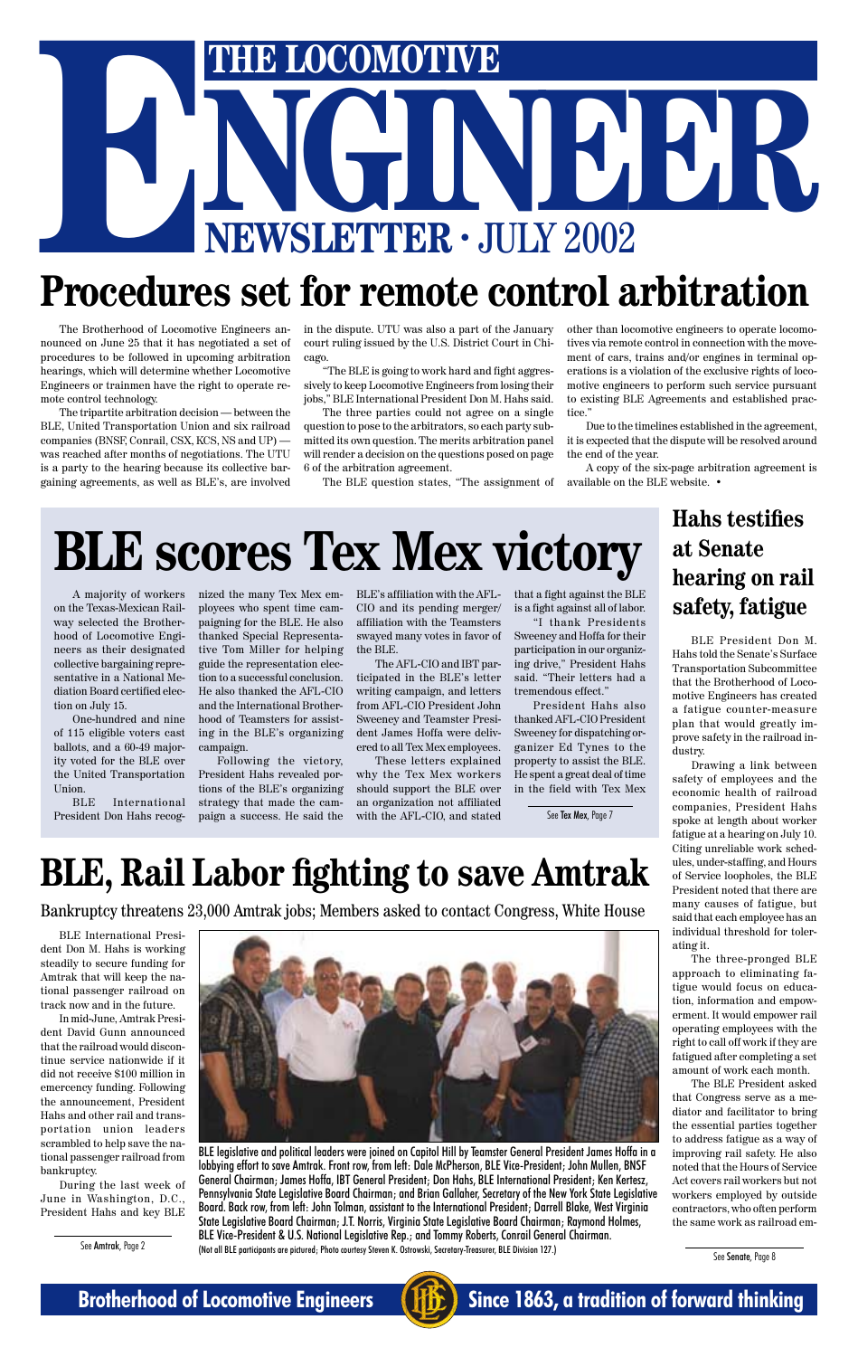

# THE LOCOMOTIVE<br>NEWSLETTER · JULY 2002 **ENGLISHE LOCOMOTIVE**<br> **ENGLISHER · JULY 2002**<br>
Procedures set for remote control arbitration

The Brotherhood of Locomotive Engineers announced on June 25 that it has negotiated a set of procedures to be followed in upcoming arbitration hearings, which will determine whether Locomotive Engineers or trainmen have the right to operate remote control technology.

The tripartite arbitration decision — between the BLE, United Transportation Union and six railroad companies (BNSF, Conrail, CSX, KCS, NS and UP) was reached after months of negotiations. The UTU is a party to the hearing because its collective bargaining agreements, as well as BLE's, are involved

in the dispute. UTU was also a part of the January court ruling issued by the U.S. District Court in Chicago.

"The BLE is going to work hard and fight aggressively to keep Locomotive Engineers from losing their jobs," BLE International President Don M. Hahs said.

The three parties could not agree on a single question to pose to the arbitrators, so each party submitted its own question. The merits arbitration panel will render a decision on the questions posed on page 6 of the arbitration agreement.

The BLE question states, "The assignment of

other than locomotive engineers to operate locomotives via remote control in connection with the movement of cars, trains and/or engines in terminal operations is a violation of the exclusive rights of locomotive engineers to perform such service pursuant to existing BLE Agreements and established practice."

Due to the timelines established in the agreement, it is expected that the dispute will be resolved around the end of the year.

A copy of the six-page arbitration agreement is available on the BLE website. •

# **BLE, Rail Labor fighting to save Amtrak**

### **Hahs testifies at Senate hearing on rail safety, fatigue**

BLE International President Don M. Hahs is working steadily to secure funding for Amtrak that will keep the national passenger railroad on



track now and in the future.

In mid-June, Amtrak President David Gunn announced that the railroad would discontinue service nationwide if it did not receive \$100 million in emercency funding. Following the announcement, President Hahs and other rail and transportation union leaders scrambled to help save the national passenger railroad from bankruptcy.

During the last week of June in Washington, D.C., President Hahs and key BLE BLE legislative and political leaders were joined on Capitol Hill by Teamster General President James Hoffa in a lobbying effort to save Amtrak. Front row, from left: Dale McPherson, BLE Vice-President; John Mullen, BNSF General Chairman; James Hoffa, IBT General President; Don Hahs, BLE International President; Ken Kertesz, Pennsylvania State Legislative Board Chairman; and Brian Gallaher, Secretary of the New York State Legislative Board. Back row, from left: John Tolman, assistant to the International President; Darrell Blake, West Virginia State Legislative Board Chairman; J.T. Norris, Virginia State Legislative Board Chairman; Raymond Holmes, BLE Vice-President & U.S. National Legislative Rep.; and Tommy Roberts, Conrail General Chairman.

(Not all BLE participants are pictured; Photo courtesy Steven K. Ostrowski, Secretary-Treasurer, BLE Division 127.)

Bankruptcy threatens 23,000 Amtrak jobs; Members asked to contact Congress, White House

BLE President Don M. Hahs told the Senate's Surface Transportation Subcommittee that the Brotherhood of Locomotive Engineers has created a fatigue counter-measure plan that would greatly improve safety in the railroad industry.

Drawing a link between safety of employees and the economic health of railroad companies, President Hahs spoke at length about worker fatigue at a hearing on July 10. Citing unreliable work schedules, under-staffing, and Hours of Service loopholes, the BLE President noted that there are many causes of fatigue, but said that each employee has an individual threshold for tolerating it.

The three-pronged BLE approach to eliminating fatigue would focus on education, information and empowerment. It would empower rail operating employees with the right to call off work if they are fatigued after completing a set amount of work each month. The BLE President asked that Congress serve as a mediator and facilitator to bring the essential parties together to address fatigue as a way of improving rail safety. He also noted that the Hours of Service Act covers rail workers but not workers employed by outside contractors, who often perform the same work as railroad em-

See Amtrak, Page 2

# **BLE scores Tex Mex victory**

See Senate, Page 8

A majority of workers on the Texas-Mexican Railway selected the Brotherhood of Locomotive Engineers as their designated collective bargaining representative in a National Mediation Board certified election on July 15.

One-hundred and nine of 115 eligible voters cast ballots, and a 60-49 majority voted for the BLE over the United Transportation Union.

BLE International President Don Hahs recognized the many Tex Mex employees who spent time campaigning for the BLE. He also thanked Special Representative Tom Miller for helping guide the representation election to a successful conclusion. He also thanked the AFL-CIO and the International Brotherhood of Teamsters for assisting in the BLE's organizing campaign.

Following the victory, President Hahs revealed portions of the BLE's organizing strategy that made the campaign a success. He said the

BLE's affiliation with the AFL-CIO and its pending merger/ affiliation with the Teamsters swayed many votes in favor of the BLE.

The AFL-CIO and IBT participated in the BLE's letter writing campaign, and letters from AFL-CIO President John Sweeney and Teamster President James Hoffa were delivered to all Tex Mex employees.

These letters explained why the Tex Mex workers should support the BLE over an organization not affiliated with the AFL-CIO, and stated

that a fight against the BLE is a fight against all of labor.

"I thank Presidents Sweeney and Hoffa for their participation in our organizing drive," President Hahs said. "Their letters had a tremendous effect."

President Hahs also thanked AFL-CIO President Sweeney for dispatching organizer Ed Tynes to the property to assist the BLE. He spent a great deal of time in the field with Tex Mex

See Tex Mex, Page 7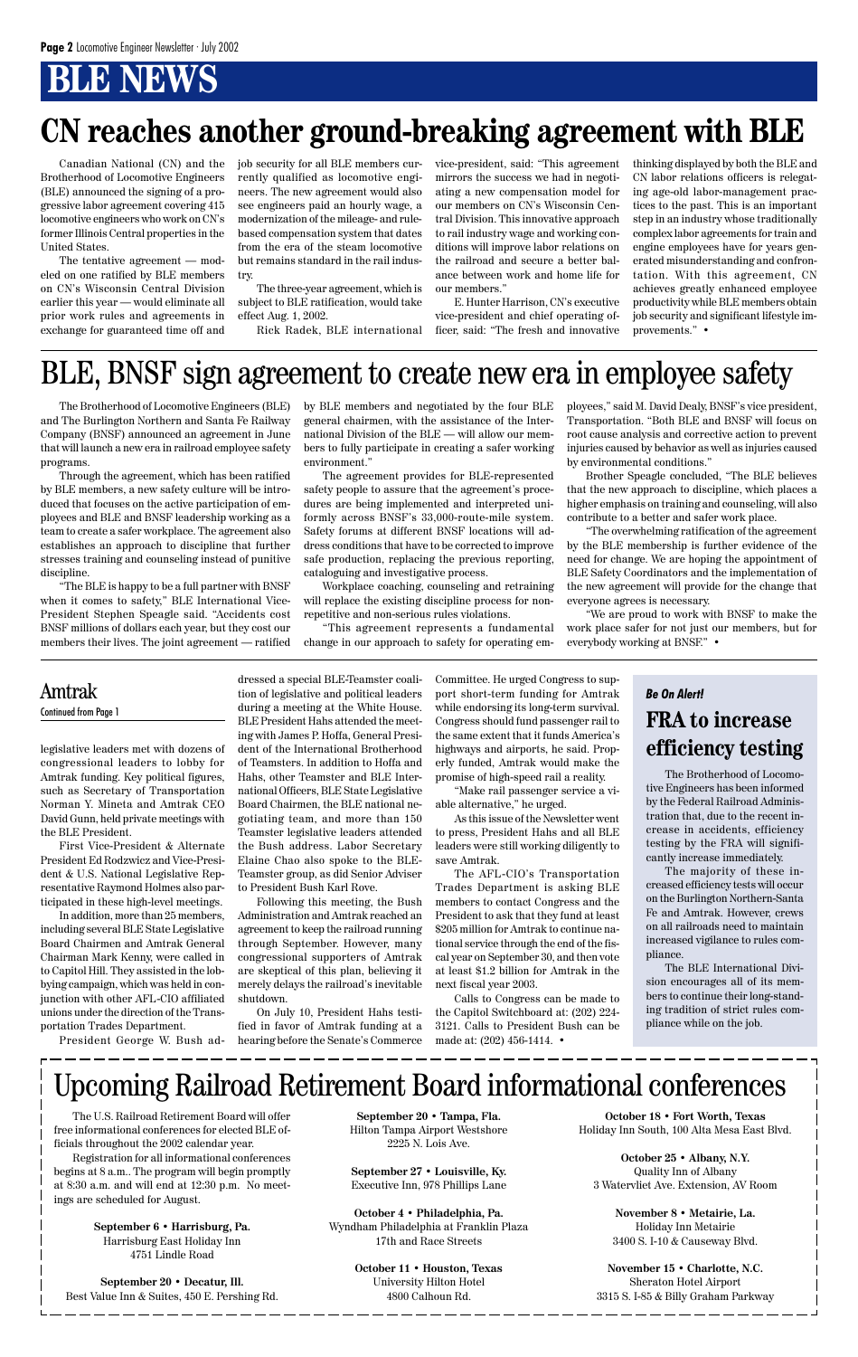# **BLE NEWS**

The Brotherhood of Locomotive Engineers (BLE) and The Burlington Northern and Santa Fe Railway Company (BNSF) announced an agreement in June that will launch a new era in railroad employee safety programs.

Through the agreement, which has been ratified by BLE members, a new safety culture will be introduced that focuses on the active participation of employees and BLE and BNSF leadership working as a team to create a safer workplace. The agreement also establishes an approach to discipline that further stresses training and counseling instead of punitive discipline.

"The BLE is happy to be a full partner with BNSF when it comes to safety," BLE International Vice-President Stephen Speagle said. "Accidents cost BNSF millions of dollars each year, but they cost our members their lives. The joint agreement — ratified

> The Brotherhood of Locomotive Engineers has been informed by the Federal Railroad Administration that, due to the recent increase in accidents, efficiency testing by the FRA will significantly increase immediately.

> The majority of these increased efficiency tests will occur on the Burlington Northern-Santa Fe and Amtrak. However, crews on all railroads need to maintain increased vigilance to rules compliance.

> The BLE International Division encourages all of its members to continue their long-standing tradition of strict rules compliance while on the job.

Canadian National (CN) and the Brotherhood of Locomotive Engineers (BLE) announced the signing of a progressive labor agreement covering 415 locomotive engineers who work on CN's former Illinois Central properties in the United States.

The tentative agreement — modeled on one ratified by BLE members on CN's Wisconsin Central Division earlier this year — would eliminate all prior work rules and agreements in exchange for guaranteed time off and

legislative leaders met with dozens of congressional leaders to lobby for Amtrak funding. Key political figures, such as Secretary of Transportation Norman Y. Mineta and Amtrak CEO David Gunn, held private meetings with the BLE President.

First Vice-President & Alternate President Ed Rodzwicz and Vice-President & U.S. National Legislative Representative Raymond Holmes also participated in these high-level meetings.

In addition, more than 25 members, including several BLE State Legislative Board Chairmen and Amtrak General Chairman Mark Kenny, were called in to Capitol Hill. They assisted in the lobbying campaign, which was held in conjunction with other AFL-CIO affiliated unions under the direction of the Transportation Trades Department.

dressed a special BLE-Teamster coalition of legislative and political leaders during a meeting at the White House. BLE President Hahs attended the meeting with James P. Hoffa, General President of the International Brotherhood of Teamsters. In addition to Hoffa and Hahs, other Teamster and BLE International Officers, BLE State Legislative Board Chairmen, the BLE national negotiating team, and more than 150 Teamster legislative leaders attended the Bush address. Labor Secretary Elaine Chao also spoke to the BLE-Teamster group, as did Senior Adviser to President Bush Karl Rove.

President George W. Bush ad-hearing before the Senate's Commerce On July 10, President Hahs testified in favor of Amtrak funding at a

Following this meeting, the Bush Administration and Amtrak reached an agreement to keep the railroad running through September. However, many congressional supporters of Amtrak are skeptical of this plan, believing it merely delays the railroad's inevitable

shutdown.

Committee. He urged Congress to support short-term funding for Amtrak while endorsing its long-term survival. Congress should fund passenger rail to the same extent that it funds America's highways and airports, he said. Properly funded, Amtrak would make the promise of high-speed rail a reality.

"Make rail passenger service a viable alternative," he urged.

As this issue of the Newsletter went to press, President Hahs and all BLE leaders were still working diligently to save Amtrak.

The AFL-CIO's Transportation Trades Department is asking BLE members to contact Congress and the President to ask that they fund at least \$205 million for Amtrak to continue national service through the end of the fiscal year on September 30, and then vote at least \$1.2 billion for Amtrak in the next fiscal year 2003.

Calls to Congress can be made to the Capitol Switchboard at: (202) 224- 3121. Calls to President Bush can be made at: (202) 456-1414. •

#### Amtrak Continued from Page 1

#### *Be On Alert!* **FRA to increase efficiency testing**

# BLE, BNSF sign agreement to create new era in employee safety

by BLE members and negotiated by the four BLE general chairmen, with the assistance of the International Division of the BLE — will allow our members to fully participate in creating a safer working environment."

The agreement provides for BLE-represented safety people to assure that the agreement's procedures are being implemented and interpreted uniformly across BNSF's 33,000-route-mile system. Safety forums at different BNSF locations will address conditions that have to be corrected to improve safe production, replacing the previous reporting, cataloguing and investigative process.

Workplace coaching, counseling and retraining will replace the existing discipline process for nonrepetitive and non-serious rules violations.

"This agreement represents a fundamental change in our approach to safety for operating employees," said M. David Dealy, BNSF's vice president, Transportation. "Both BLE and BNSF will focus on root cause analysis and corrective action to prevent injuries caused by behavior as well as injuries caused by environmental conditions."

Brother Speagle concluded, "The BLE believes that the new approach to discipline, which places a higher emphasis on training and counseling, will also contribute to a better and safer work place.

"The overwhelming ratification of the agreement by the BLE membership is further evidence of the need for change. We are hoping the appointment of BLE Safety Coordinators and the implementation of the new agreement will provide for the change that everyone agrees is necessary.

"We are proud to work with BNSF to make the work place safer for not just our members, but for everybody working at BNSF." •

job security for all BLE members currently qualified as locomotive engineers. The new agreement would also see engineers paid an hourly wage, a modernization of the mileage- and rulebased compensation system that dates from the era of the steam locomotive but remains standard in the rail industry.

The three-year agreement, which is subject to BLE ratification, would take effect Aug. 1, 2002.

Rick Radek, BLE international

vice-president, said: "This agreement mirrors the success we had in negotiating a new compensation model for our members on CN's Wisconsin Central Division. This innovative approach to rail industry wage and working conditions will improve labor relations on the railroad and secure a better balance between work and home life for our members."

E. Hunter Harrison, CN's executive vice-president and chief operating officer, said: "The fresh and innovative thinking displayed by both the BLE and CN labor relations officers is relegating age-old labor-management practices to the past. This is an important step in an industry whose traditionally complex labor agreements for train and engine employees have for years generated misunderstanding and confrontation. With this agreement, CN achieves greatly enhanced employee productivity while BLE members obtain job security and significant lifestyle improvements." •

# **CN reaches another ground-breaking agreement with BLE**

The U.S. Railroad Retirement Board will offer free informational conferences for elected BLE officials throughout the 2002 calendar year.

Registration for all informational conferences begins at 8 a.m.. The program will begin promptly at 8:30 a.m. and will end at 12:30 p.m. No meetings are scheduled for August.

> **September 6 • Harrisburg, Pa.** Harrisburg East Holiday Inn 4751 Lindle Road

**September 20 • Decatur, Ill.** Best Value Inn & Suites, 450 E. Pershing Rd.

# Upcoming Railroad Retirement Board informational conferences

**September 20 • Tampa, Fla.** Hilton Tampa Airport Westshore 2225 N. Lois Ave.

**September 27 • Louisville, Ky.** Executive Inn, 978 Phillips Lane

**October 4 • Philadelphia, Pa.** Wyndham Philadelphia at Franklin Plaza 17th and Race Streets

**October 11 • Houston, Texas**

University Hilton Hotel 4800 Calhoun Rd.

**October 18 • Fort Worth, Texas** Holiday Inn South, 100 Alta Mesa East Blvd.

**October 25 • Albany, N.Y.** Quality Inn of Albany 3 Watervliet Ave. Extension, AV Room

**November 8 • Metairie, La.** Holiday Inn Metairie 3400 S. I-10 & Causeway Blvd.

**November 15 • Charlotte, N.C.** Sheraton Hotel Airport 3315 S. I-85 & Billy Graham Parkway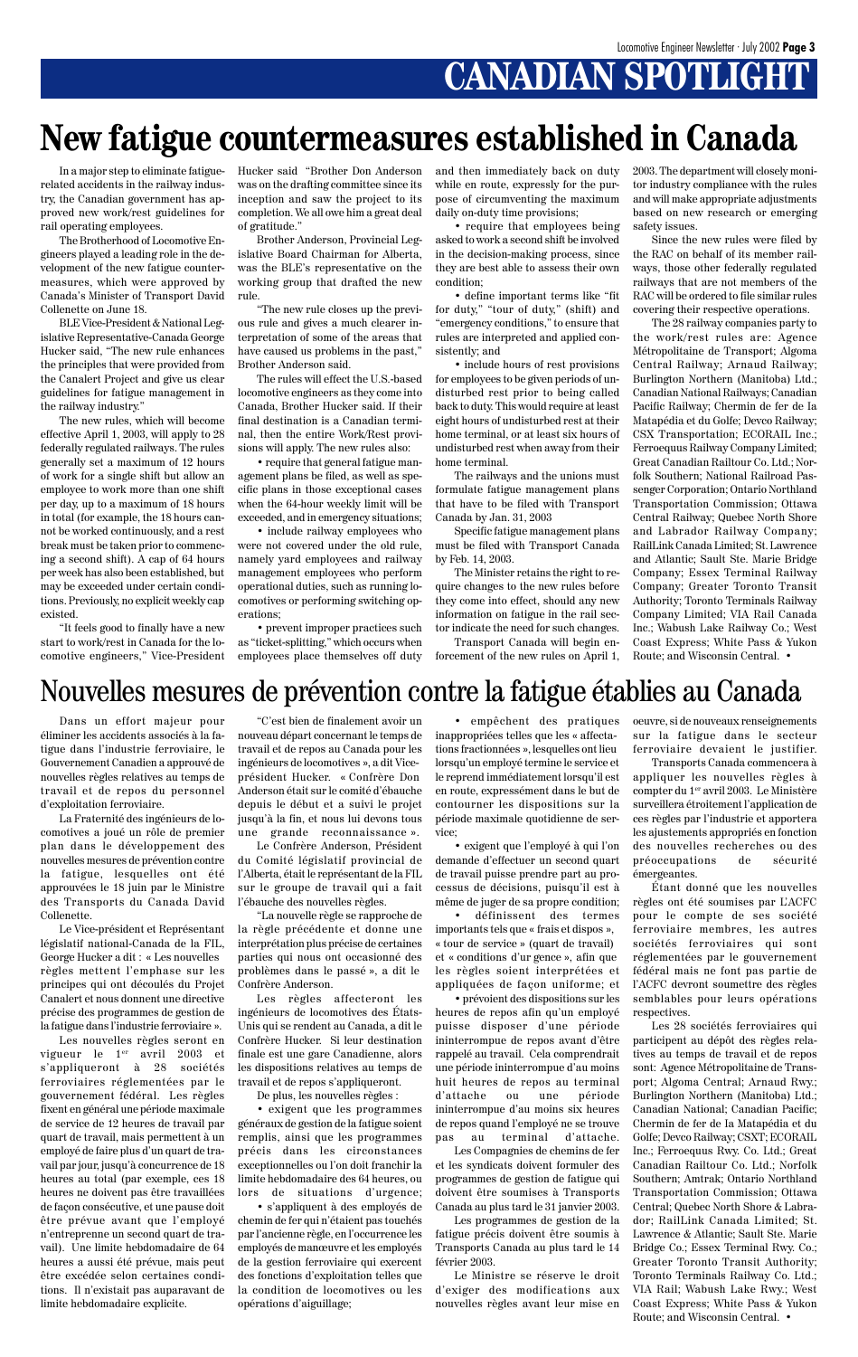# **CANADIAN SPOTLIGHT**

In a major step to eliminate fatiguerelated accidents in the railway industry, the Canadian government has approved new work/rest guidelines for rail operating employees.

The Brotherhood of Locomotive Engineers played a leading role in the development of the new fatigue countermeasures, which were approved by Canada's Minister of Transport David Collenette on June 18.

BLE Vice-President & National Legislative Representative-Canada George Hucker said, "The new rule enhances the principles that were provided from the Canalert Project and give us clear guidelines for fatigue management in the railway industry."

The new rules, which will become effective April 1, 2003, will apply to 28 federally regulated railways. The rules generally set a maximum of 12 hours of work for a single shift but allow an employee to work more than one shift per day, up to a maximum of 18 hours in total (for example, the 18 hours cannot be worked continuously, and a rest break must be taken prior to commencing a second shift). A cap of 64 hours per week has also been established, but may be exceeded under certain conditions. Previously, no explicit weekly cap existed.

"It feels good to finally have a new start to work/rest in Canada for the locomotive engineers," Vice-President Hucker said "Brother Don Anderson was on the drafting committee since its inception and saw the project to its completion. We all owe him a great deal of gratitude."

Brother Anderson, Provincial Legislative Board Chairman for Alberta, was the BLE's representative on the working group that drafted the new rule.

"The new rule closes up the previous rule and gives a much clearer interpretation of some of the areas that have caused us problems in the past," Brother Anderson said.

The rules will effect the U.S.-based locomotive engineers as they come into Canada, Brother Hucker said. If their final destination is a Canadian terminal, then the entire Work/Rest provisions will apply. The new rules also:

• require that general fatigue management plans be filed, as well as specific plans in those exceptional cases when the 64-hour weekly limit will be exceeded, and in emergency situations;

• include railway employees who were not covered under the old rule, namely yard employees and railway management employees who perform operational duties, such as running locomotives or performing switching operations;

• prevent improper practices such as "ticket-splitting," which occurs when employees place themselves off duty and then immediately back on duty while en route, expressly for the purpose of circumventing the maximum daily on-duty time provisions;

• require that employees being asked to work a second shift be involved in the decision-making process, since they are best able to assess their own condition;

• define important terms like "fit for duty," "tour of duty," (shift) and "emergency conditions," to ensure that rules are interpreted and applied consistently; and

• include hours of rest provisions for employees to be given periods of undisturbed rest prior to being called back to duty. This would require at least eight hours of undisturbed rest at their home terminal, or at least six hours of undisturbed rest when away from their home terminal.

"C'est bien de finalement avoir un nouveau départ concernant le temps de travail et de repos au Canada pour les ingénieurs de locomotives␣ », a dit Viceprésident Hucker. «␣ Confrère Don Anderson était sur le comité d'ébauche depuis le début et a suivi le projet jusqu'à la fin, et nous lui devons tous une grande reconnaissance ».

The railways and the unions must formulate fatigue management plans that have to be filed with Transport Canada by Jan. 31, 2003

Specific fatigue management plans must be filed with Transport Canada by Feb. 14, 2003.

The Minister retains the right to require changes to the new rules before they come into effect, should any new information on fatigue in the rail sector indicate the need for such changes.

Transport Canada will begin enforcement of the new rules on April 1, 2003. The department will closely monitor industry compliance with the rules and will make appropriate adjustments based on new research or emerging safety issues.

Since the new rules were filed by the RAC on behalf of its member railways, those other federally regulated railways that are not members of the RAC will be ordered to file similar rules covering their respective operations.

The 28 railway companies party to the work/rest rules are: Agence Métropolitaine de Transport; Algoma Central Railway; Arnaud Railway; Burlington Northern (Manitoba) Ltd.; Canadian National Railways; Canadian Pacific Railway; Chermin de fer de Ia Matapédia et du Golfe; Devco Railway; CSX Transportation; ECORAIL Inc.; Ferroequus Railway Company Limited; Great Canadian Railtour Co. Ltd.; Norfolk Southern; National Railroad Passenger Corporation; Ontario Northland Transportation Commission; Ottawa Central Railway; Quebec North Shore and Labrador Railway Company; RailLink Canada Limited; St. Lawrence and Atlantic; Sault Ste. Marie Bridge Company; Essex Terminal Railway Company; Greater Toronto Transit Authority; Toronto Terminals Railway Company Limited; VIA Rail Canada Inc.; Wabush Lake Railway Co.; West Coast Express; White Pass & Yukon Route; and Wisconsin Central. •

# **New fatigue countermeasures established in Canada**

Dans un effort majeur pour éliminer les accidents associés à la fatigue dans l'industrie ferroviaire, le Gouvernement Canadien a approuvé de nouvelles règles relatives au temps de travail et de repos du personnel d'exploitation ferroviaire.

La Fraternité des ingénieurs de locomotives a joué un rôle de premier plan dans le développement des nouvelles mesures de prévention contre la fatigue, lesquelles ont été approuvées le 18 juin par le Ministre des Transports du Canada David Collenette.

Le Vice-président et Représentant législatif national-Canada de la FIL, George Hucker a dit : « Les nouvelles règles mettent l'emphase sur les principes qui ont découlés du Projet Canalert et nous donnent une directive précise des programmes de gestion de la fatigue dans l'industrie ferroviaire ». Les nouvelles règles seront en vigueur le 1er avril 2003 et s'appliqueront à 28 sociétés ferroviaires réglementées par le gouvernement fédéral. Les règles fixent en général une période maximale de service de 12 heures de travail par quart de travail, mais permettent à un employé de faire plus d'un quart de travail par jour, jusqu'à concurrence de 18 heures au total (par exemple, ces 18 heures ne doivent pas être travaillées de façon consécutive, et une pause doit être prévue avant que l'employé n'entreprenne un second quart de travail). Une limite hebdomadaire de 64 heures a aussi été prévue, mais peut être excédée selon certaines conditions. Il n'existait pas auparavant de limite hebdomadaire explicite.

Le Confrère Anderson, Président du Comité législatif provincial de l'Alberta, était le représentant de la FIL sur le groupe de travail qui a fait l'ébauche des nouvelles règles.

"La nouvelle règle se rapproche de la règle précédente et donne une interprétation plus précise de certaines parties qui nous ont occasionné des problèmes dans le passé␣ », a dit le Confrère Anderson.

Les règles affecteront les ingénieurs de locomotives des États-Unis qui se rendent au Canada, a dit le Confrère Hucker. Si leur destination finale est une gare Canadienne, alors les dispositions relatives au temps de travail et de repos s'appliqueront.

De plus, les nouvelles règles :

• exigent que les programmes généraux de gestion de la fatigue soient remplis, ainsi que les programmes précis dans les circonstances exceptionnelles ou l'on doit franchir la limite hebdomadaire des 64 heures, ou lors de situations d'urgence;

• s'appliquent à des employés de chemin de fer qui n'étaient pas touchés par l'ancienne règle, en l'occurrence les employés de manœuvre et les employés de la gestion ferroviaire qui exercent des fonctions d'exploitation telles que la condition de locomotives ou les opérations d'aiguillage;

• empêchent des pratiques inappropriées telles que les « affectations fractionnées␣ », lesquelles ont lieu lorsqu'un employé termine le service et le reprend immédiatement lorsqu'il est en route, expressément dans le but de contourner les dispositions sur la période maximale quotidienne de service;

• exigent que l'employé à qui l'on demande d'effectuer un second quart de travail puisse prendre part au processus de décisions, puisqu'il est à même de juger de sa propre condition;

• définissent des termes importants tels que « frais et dispos », « tour de service » (quart de travail) et «␣ conditions d'ur gence␣ », afin que les règles soient interprétées et appliquées de façon uniforme; et

• prévoient des dispositions sur les heures de repos afin qu'un employé puisse disposer d'une période ininterrompue de repos avant d'être rappelé au travail. Cela comprendrait une période ininterrompue d'au moins huit heures de repos au terminal d'attache ou une période ininterrompue d'au moins six heures de repos quand l'employé ne se trouve pas au terminal d'attache. Les Compagnies de chemins de fer

et les syndicats doivent formuler des programmes de gestion de fatigue qui doivent être soumises à Transports Canada au plus tard le 31 janvier 2003.

Les programmes de gestion de la fatigue précis doivent être soumis à Transports Canada au plus tard le 14 février 2003.

Le Ministre se réserve le droit d'exiger des modifications aux nouvelles règles avant leur mise en

oeuvre, si de nouveaux renseignements sur la fatigue dans le secteur ferroviaire devaient le justifier.

Transports Canada commencera à appliquer les nouvelles règles à compter du 1er avril 2003. Le Ministère surveillera étroitement l'application de ces règles par l'industrie et apportera les ajustements appropriés en fonction des nouvelles recherches ou des préoccupations de sécurité émergeantes.

Étant donné que les nouvelles règles ont été soumises par L'ACFC pour le compte de ses société ferroviaire membres, les autres sociétés ferroviaires qui sont réglementées par le gouvernement fédéral mais ne font pas partie de l'ACFC devront soumettre des règles semblables pour leurs opérations respectives.

Les 28 sociétés ferroviaires qui participent au dépôt des règles relatives au temps de travail et de repos sont: Agence Métropolitaine de Transport; Algoma Central; Arnaud Rwy.; Burlington Northern (Manitoba) Ltd.; Canadian National; Canadian Pacific; Chermin de fer de Ia Matapédia et du Golfe; Devco Railway; CSXT; ECORAIL Inc.; Ferroequus Rwy. Co. Ltd.; Great Canadian Railtour Co. Ltd.; Norfolk Southern; Amtrak; Ontario Northland Transportation Commission; Ottawa Central; Quebec North Shore & Labrador; RailLink Canada Limited; St. Lawrence & Atlantic; Sault Ste. Marie Bridge Co.; Essex Terminal Rwy. Co.; Greater Toronto Transit Authority; Toronto Terminals Railway Co. Ltd.; VIA Rail; Wabush Lake Rwy.; West Coast Express; White Pass & Yukon Route; and Wisconsin Central. •

## Nouvelles mesures de prévention contre la fatigue établies au Canada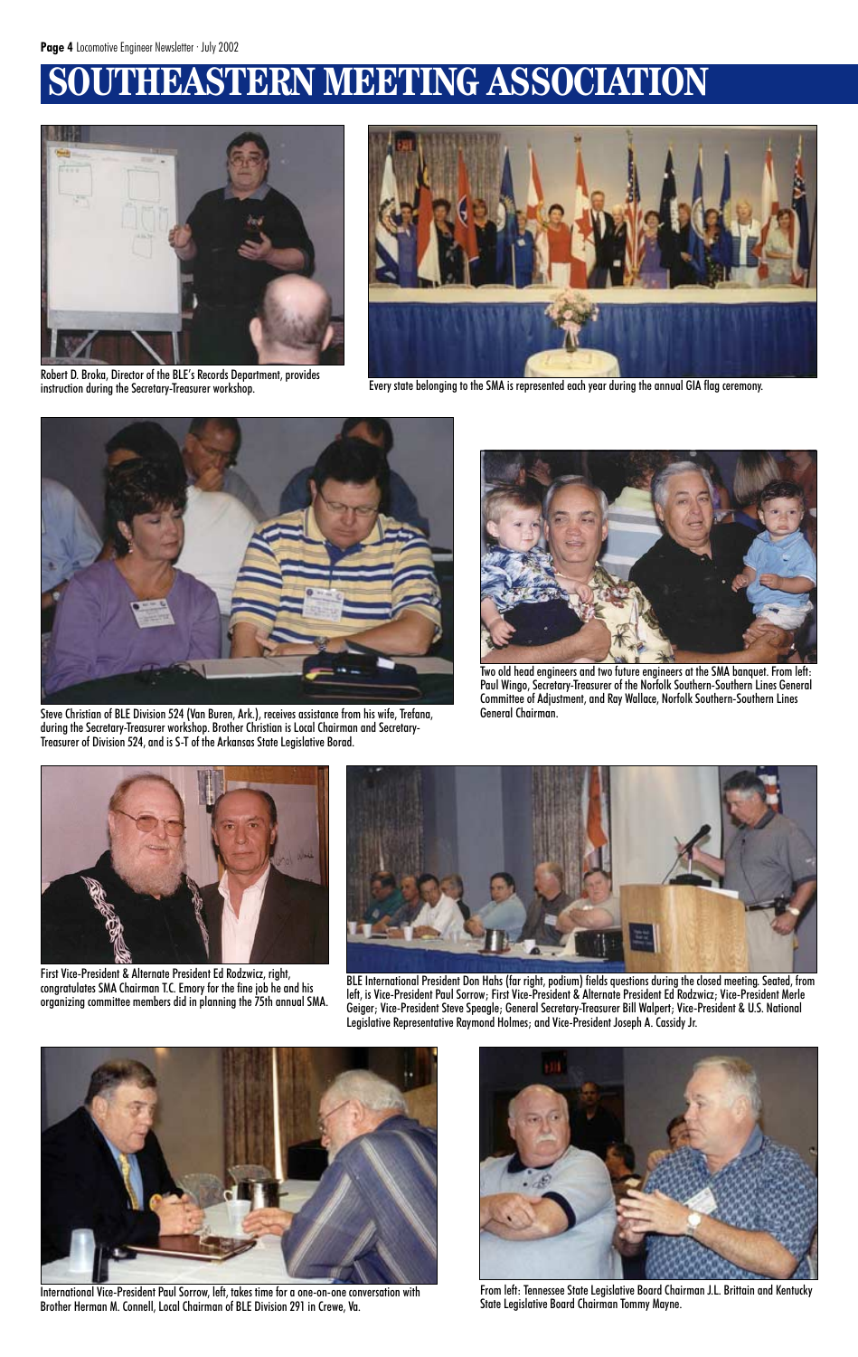# **STERN MEETING ASSOCIATION**



Robert D. Broka, Director of the BLE's Records Department, provides



instruction during the Secretary-Treasurer workshop. Every state belonging to the SMA is represented each year during the annual GIA flag ceremony.



Steve Christian of BLE Division 524 (Van Buren, Ark.), receives assistance from his wife, Trefana, during the Secretary-Treasurer workshop. Brother Christian is Local Chairman and Secretary-Treasurer of Division 524, and is S-T of the Arkansas State Legislative Borad.



Two old head engineers and two future engineers at the SMA banquet. From left: Paul Wingo, Secretary-Treasurer of the Norfolk Southern-Southern Lines General Committee of Adjustment, and Ray Wallace, Norfolk Southern-Southern Lines General Chairman.



BLE International President Don Hahs (far right, podium) fields questions during the closed meeting. Seated, from left, is Vice-President Paul Sorrow; First Vice-President & Alternate President Ed Rodzwicz; Vice-President Merle

Geiger; Vice-President Steve Speagle; General Secretary-Treasurer Bill Walpert; Vice-President & U.S. National Legislative Representative Raymond Holmes; and Vice-President Joseph A. Cassidy Jr.



First Vice-President & Alternate President Ed Rodzwicz, right, congratulates SMA Chairman T.C. Emory for the fine job he and his

organizing committee members did in planning the 75th annual SMA.



International Vice-President Paul Sorrow, left, takes time for a one-on-one conversation with Brother Herman M. Connell, Local Chairman of BLE Division 291 in Crewe, Va.



From left: Tennessee State Legislative Board Chairman J.L. Brittain and Kentucky State Legislative Board Chairman Tommy Mayne.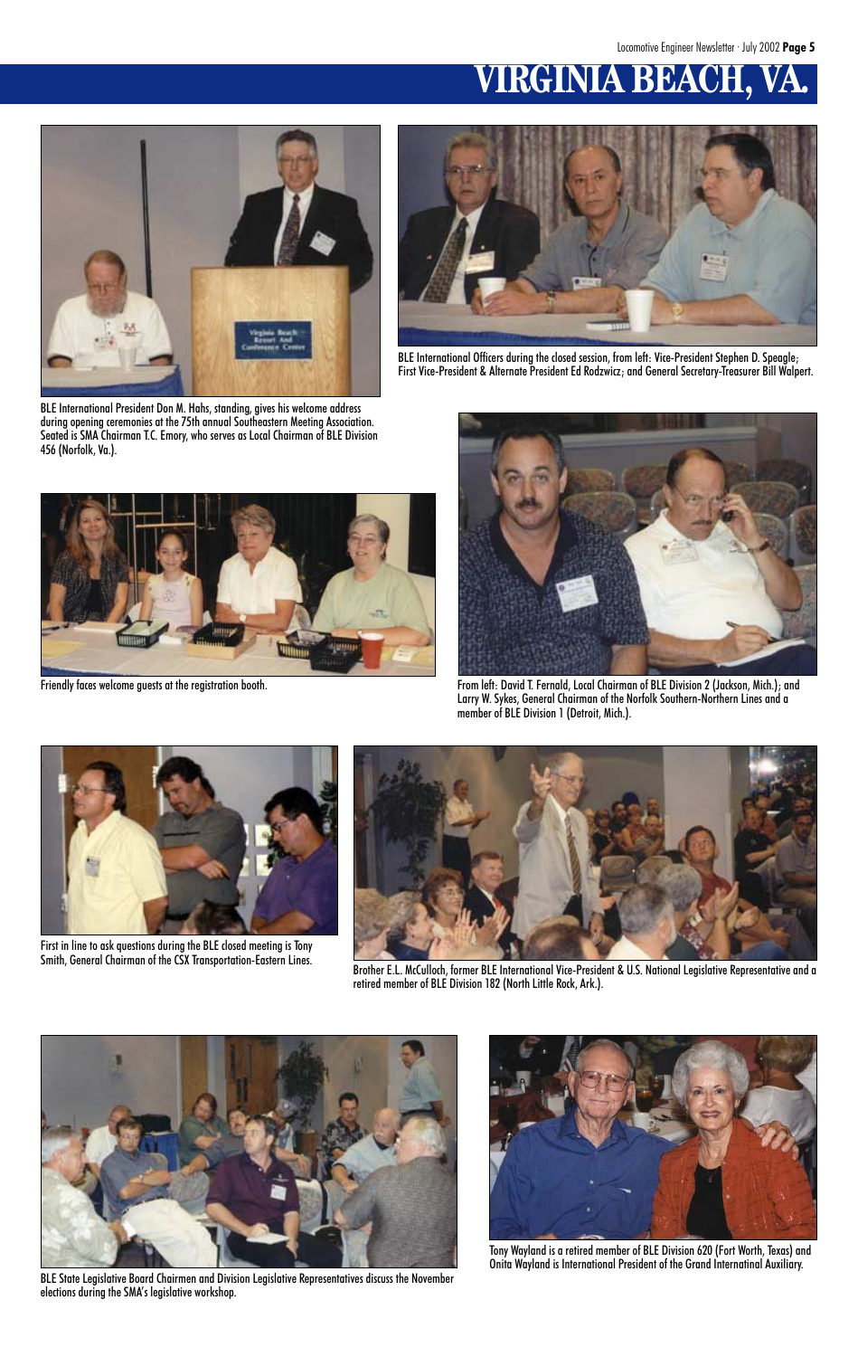# **VIRGINIA BEACH**



BLE International President Don M. Hahs, standing, gives his welcome address during opening ceremonies at the 75th annual Southeastern Meeting Association. Seated is SMA Chairman T.C. Emory, who serves as Local Chairman of BLE Division 456 (Norfolk, Va.).



BLE International Officers during the closed session, from left: Vice-President Stephen D. Speagle; First Vice-President & Alternate President Ed Rodzwicz; and General Secretary-Treasurer Bill Walpert.





Friendly faces welcome guests at the registration booth. From left: David T. Fernald, Local Chairman of BLE Division 2 (Jackson, Mich.); and Larry W. Sykes, General Chairman of the Norfolk Southern-Northern Lines and a member of BLE Division 1 (Detroit, Mich.).



Brother E.L. McCulloch, former BLE International Vice-President & U.S. National Legislative Representative and a retired member of BLE Division 182 (North Little Rock, Ark.).





First in line to ask questions during the BLE closed meeting is Tony Smith, General Chairman of the CSX Transportation-Eastern Lines.

BLE State Legislative Board Chairmen and Division Legislative Representatives discuss the November elections during the SMA's legislative workshop.



Tony Wayland is a retired member of BLE Division 620 (Fort Worth, Texas) and Onita Wayland is International President of the Grand Internatinal Auxiliary.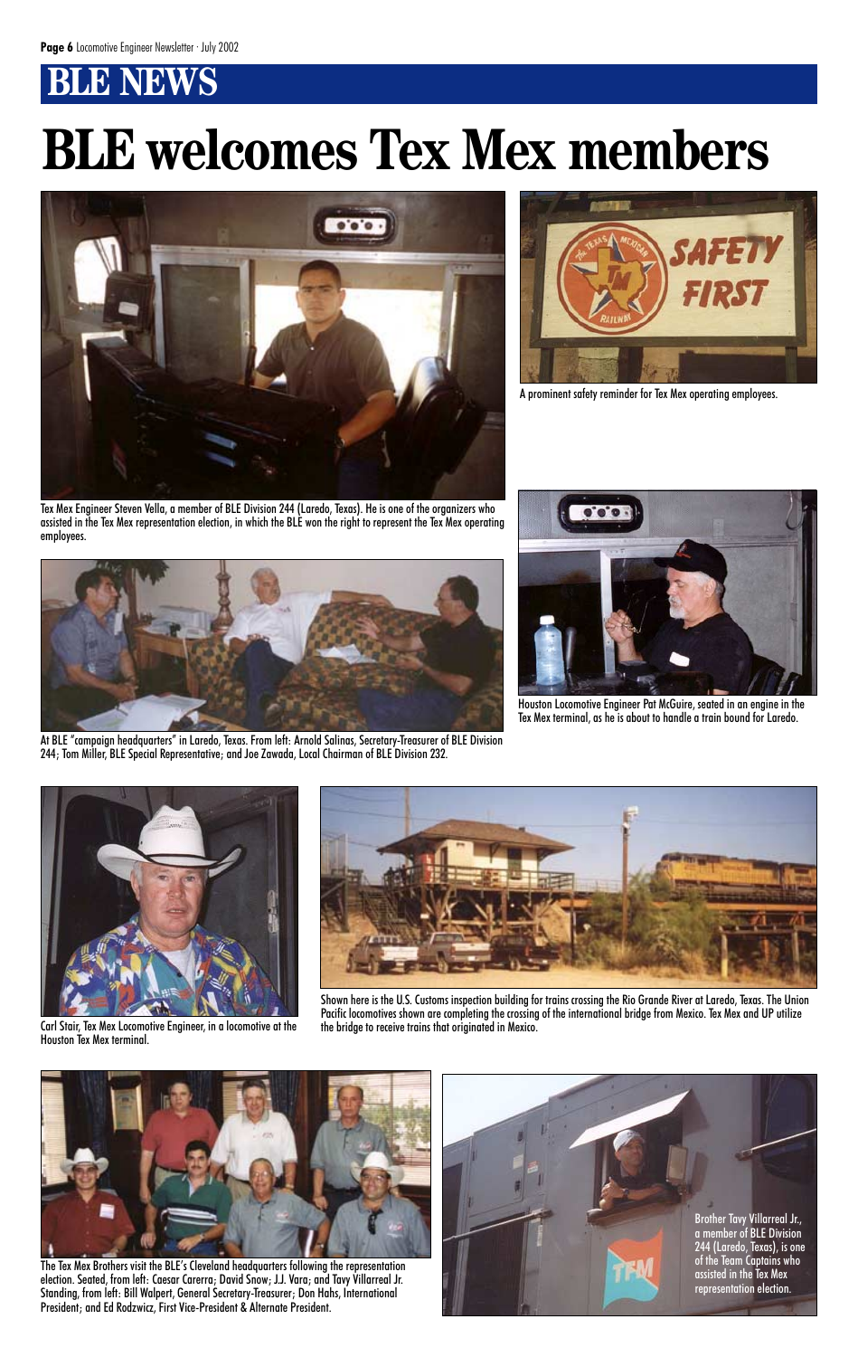# **BLNBWS**

# **BLE welcomes Tex Mex members**





A prominent safety reminder for Tex Mex operating employees.

Tex Mex Engineer Steven Vella, a member of BLE Division 244 (Laredo, Texas). He is one of the organizers who assisted in the Tex Mex representation election, in which the BLE won the right to represent the Tex Mex operating employees.



At BLE "campaign headquarters" in Laredo, Texas. From left: Arnold Salinas, Secretary-Treasurer of BLE Division 244; Tom Miller, BLE Special Representative; and Joe Zawada, Local Chairman of BLE Division 232.



Houston Locomotive Engineer Pat McGuire, seated in an engine in the Tex Mex terminal, as he is about to handle a train bound for Laredo.

Carl Stair, Tex Mex Locomotive Engineer, in a locomotive at the Houston Tex Mex terminal.

Shown here is the U.S. Customs inspection building for trains crossing the Rio Grande River at Laredo, Texas. The Union Pacific locomotives shown are completing the crossing of the international bridge from Mexico. Tex Mex and UP utilize<br>the bridge to receive trains that originated in Mexico.



representation election.







election. Seated, from left: Caesar Carerra; David Snow; J.J. Vara; and Tavy Villarreal Jr. Standing, from left: Bill Walpert, General Secretary-Treasurer; Don Hahs, International President; and Ed Rodzwicz, First Vice-President & Alternate President.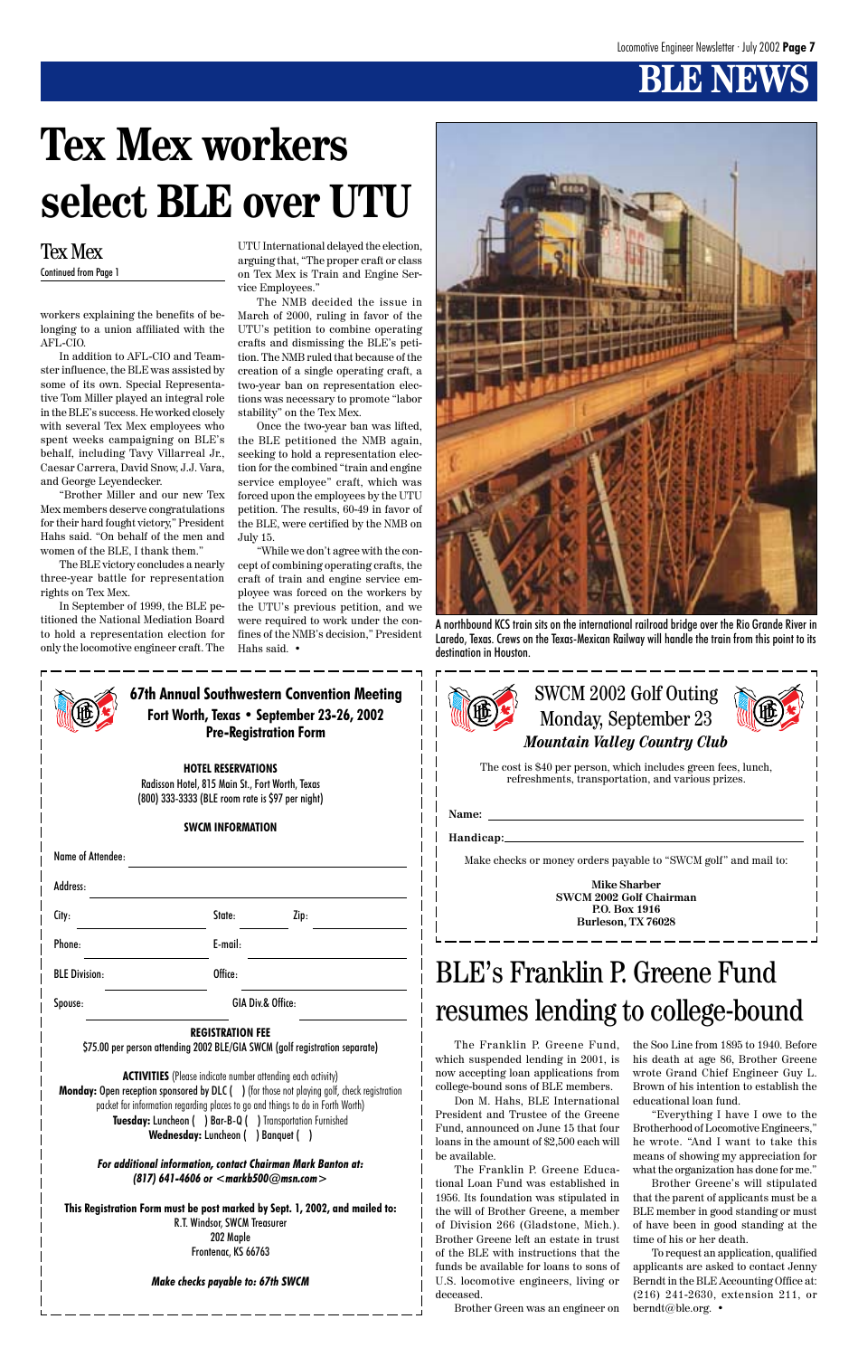



**Mike Sharber SWCM 2002 Golf Chairman P.O. Box 1916 Burleson, TX 76028**

#### **REGISTRATION FEE** \$75.00 per person attending 2002 BLE/GIA SWCM (golf registration separate)

**ACTIVITIES** (Please indicate number attending each activity) **Monday:** Open reception sponsored by DLC ( ) (for those not playing golf, check registration packet for information regarding places to go and things to do in Forth Worth) **Tuesday:** Luncheon ( ) Bar-B-Q ( ) Transportation Furnished **Wednesday:** Luncheon ( ) Banquet ( )

|                      | <b>Pre-Registration Form</b>                                                                                                     | <b>67th Annual Southwestern Convention Meeting</b><br>Fort Worth, Texas • September 23-26, 2002 |
|----------------------|----------------------------------------------------------------------------------------------------------------------------------|-------------------------------------------------------------------------------------------------|
|                      | <b>HOTEL RESERVATIONS</b><br>Radisson Hotel, 815 Main St., Fort Worth, Texas<br>(800) 333-3333 (BLE room rate is \$97 per night) |                                                                                                 |
|                      | <b>SWCM INFORMATION</b>                                                                                                          |                                                                                                 |
| Name of Attendee:    |                                                                                                                                  |                                                                                                 |
| Address:             |                                                                                                                                  |                                                                                                 |
| City:                | State:                                                                                                                           | Zip:                                                                                            |
| Phone:               | E-mail:                                                                                                                          |                                                                                                 |
| <b>BLE Division:</b> | Office:                                                                                                                          |                                                                                                 |



*For additional information, contact Chairman Mark Banton at: (817) 641-4606 or <markb500@msn.com>*

**This Registration Form must be post marked by Sept. 1, 2002, and mailed to:** R.T. Windsor, SWCM Treasurer 202 Maple Frontenac, KS 66763

#### *Make checks payable to: 67th SWCM*

workers explaining the benefits of belonging to a union affiliated with the AFL-CIO.

In addition to AFL-CIO and Teamster influence, the BLE was assisted by some of its own. Special Representative Tom Miller played an integral role in the BLE's success. He worked closely with several Tex Mex employees who spent weeks campaigning on BLE's behalf, including Tavy Villarreal Jr., Caesar Carrera, David Snow, J.J. Vara, and George Leyendecker.

"Brother Miller and our new Tex Mex members deserve congratulations for their hard fought victory," President Hahs said. "On behalf of the men and women of the BLE, I thank them."

The BLE victory concludes a nearly three-year battle for representation rights on Tex Mex.

In September of 1999, the BLE petitioned the National Mediation Board to hold a representation election for only the locomotive engineer craft. The UTU International delayed the election, arguing that, "The proper craft or class on Tex Mex is Train and Engine Service Employees."

The NMB decided the issue in March of 2000, ruling in favor of the UTU's petition to combine operating crafts and dismissing the BLE's petition. The NMB ruled that because of the creation of a single operating craft, a two-year ban on representation elections was necessary to promote "labor stability" on the Tex Mex.

Once the two-year ban was lifted, the BLE petitioned the NMB again, seeking to hold a representation election for the combined "train and engine service employee" craft, which was forced upon the employees by the UTU petition. The results, 60-49 in favor of the BLE, were certified by the NMB on July 15.

"While we don't agree with the concept of combining operating crafts, the craft of train and engine service employee was forced on the workers by the UTU's previous petition, and we were required to work under the confines of the NMB's decision," President Hahs said. •

# BLE's Franklin P. Greene Fund

#### Spouse: GIA Div.& Office:

## resumes lending to college-bound

The Franklin P. Greene Fund, which suspended lending in 2001, is now accepting loan applications from college-bound sons of BLE members.

Don M. Hahs, BLE International President and Trustee of the Greene Fund, announced on June 15 that four loans in the amount of \$2,500 each will be available.

The Franklin P. Greene Educational Loan Fund was established in 1956. Its foundation was stipulated in the will of Brother Greene, a member of Division 266 (Gladstone, Mich.). Brother Greene left an estate in trust of the BLE with instructions that the funds be available for loans to sons of U.S. locomotive engineers, living or deceased.

Brother Green was an engineer on

the Soo Line from 1895 to 1940. Before his death at age 86, Brother Greene wrote Grand Chief Engineer Guy L. Brown of his intention to establish the educational loan fund.

"Everything I have I owe to the Brotherhood of Locomotive Engineers," he wrote. "And I want to take this means of showing my appreciation for what the organization has done for me."

Brother Greene's will stipulated that the parent of applicants must be a BLE member in good standing or must of have been in good standing at the time of his or her death.

To request an application, qualified applicants are asked to contact Jenny Berndt in the BLE Accounting Office at: (216) 241-2630, extension 211, or berndt@ble.org. •

# **Tex Mex workers select BLE over UTU**

#### Tex Mex Continued from Page 1

A northbound KCS train sits on the international railroad bridge over the Rio Grande River in Laredo, Texas. Crews on the Texas-Mexican Railway will handle the train from this point to its destination in Houston.